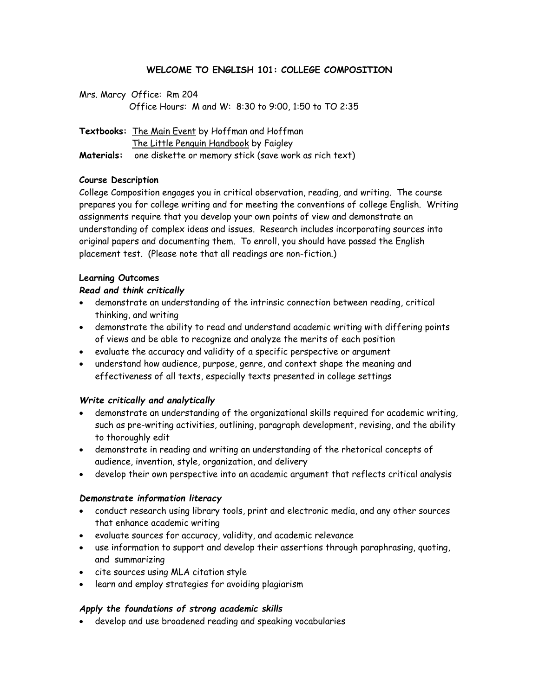# **WELCOME TO ENGLISH 101: COLLEGE COMPOSITION**

| Mrs. Marcy Office: Rm 204                            |  |  |  |  |
|------------------------------------------------------|--|--|--|--|
| Office Hours: M and W: 8:30 to 9:00, 1:50 to TO 2:35 |  |  |  |  |

**Textbooks:** The Main Event by Hoffman and Hoffman The Little Penguin Handbook by Faigley **Materials:** one diskette or memory stick (save work as rich text)

# **Course Description**

College Composition engages you in critical observation, reading, and writing. The course prepares you for college writing and for meeting the conventions of college English. Writing assignments require that you develop your own points of view and demonstrate an understanding of complex ideas and issues. Research includes incorporating sources into original papers and documenting them. To enroll, you should have passed the English placement test. (Please note that all readings are non-fiction.)

# **Learning Outcomes**

# *Read and think critically*

- demonstrate an understanding of the intrinsic connection between reading, critical thinking, and writing
- demonstrate the ability to read and understand academic writing with differing points of views and be able to recognize and analyze the merits of each position
- evaluate the accuracy and validity of a specific perspective or argument
- understand how audience, purpose, genre, and context shape the meaning and effectiveness of all texts, especially texts presented in college settings

# *Write critically and analytically*

- demonstrate an understanding of the organizational skills required for academic writing, such as pre-writing activities, outlining, paragraph development, revising, and the ability to thoroughly edit
- demonstrate in reading and writing an understanding of the rhetorical concepts of audience, invention, style, organization, and delivery
- develop their own perspective into an academic argument that reflects critical analysis

# *Demonstrate information literacy*

- conduct research using library tools, print and electronic media, and any other sources that enhance academic writing
- evaluate sources for accuracy, validity, and academic relevance
- use information to support and develop their assertions through paraphrasing, quoting, and summarizing
- cite sources using MLA citation style
- learn and employ strategies for avoiding plagiarism

# *Apply the foundations of strong academic skills*

develop and use broadened reading and speaking vocabularies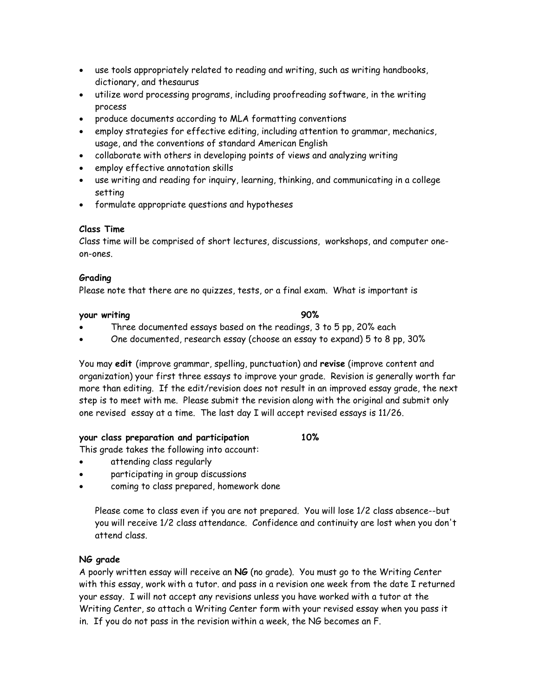- use tools appropriately related to reading and writing, such as writing handbooks, dictionary, and thesaurus
- utilize word processing programs, including proofreading software, in the writing process
- produce documents according to MLA formatting conventions
- employ strategies for effective editing, including attention to grammar, mechanics, usage, and the conventions of standard American English
- collaborate with others in developing points of views and analyzing writing
- employ effective annotation skills
- use writing and reading for inquiry, learning, thinking, and communicating in a college setting
- formulate appropriate questions and hypotheses

# **Class Time**

Class time will be comprised of short lectures, discussions, workshops, and computer oneon-ones.

### **Grading**

Please note that there are no quizzes, tests, or a final exam. What is important is

# **your writing 90%**

- Three documented essays based on the readings, 3 to 5 pp, 20% each
- One documented, research essay (choose an essay to expand) 5 to 8 pp, 30%

You may **edit** (improve grammar, spelling, punctuation) and **revise** (improve content and organization) your first three essays to improve your grade. Revision is generally worth far more than editing. If the edit/revision does not result in an improved essay grade, the next step is to meet with me. Please submit the revision along with the original and submit only one revised essay at a time. The last day I will accept revised essays is 11/26.

# **your class preparation and participation 10%**

This grade takes the following into account:

- attending class regularly
- participating in group discussions
- coming to class prepared, homework done

Please come to class even if you are not prepared. You will lose 1/2 class absence--but you will receive 1/2 class attendance. Confidence and continuity are lost when you don't attend class.

# **NG grade**

A poorly written essay will receive an **NG** (no grade). You must go to the Writing Center with this essay, work with a tutor. and pass in a revision one week from the date I returned your essay. I will not accept any revisions unless you have worked with a tutor at the Writing Center, so attach a Writing Center form with your revised essay when you pass it in. If you do not pass in the revision within a week, the NG becomes an F.